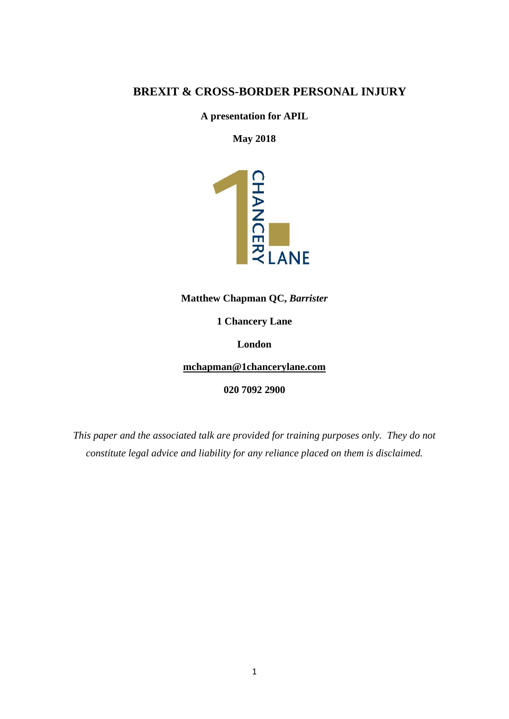# **BREXIT & CROSS-BORDER PERSONAL INJURY**

**A presentation for APIL**

**May 2018**



**1 Chancery Lane**

**London**

**[mchapman@1chancerylane.com](mailto:mchapman@1chancerylane.com)**

**020 7092 2900**

*This paper and the associated talk are provided for training purposes only. They do not constitute legal advice and liability for any reliance placed on them is disclaimed.*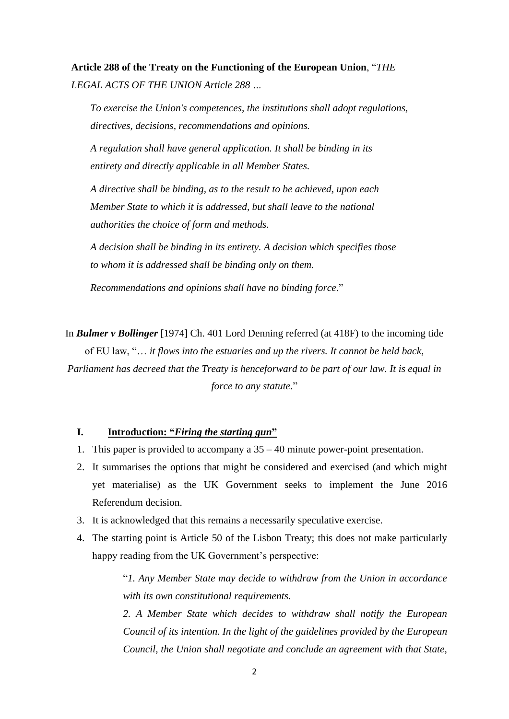**Article 288 of the Treaty on the Functioning of the European Union**, "*THE LEGAL ACTS OF THE UNION Article 288 …*

*To exercise the Union's competences, the institutions shall adopt regulations, directives, decisions, recommendations and opinions.*

*A regulation shall have general application. It shall be binding in its entirety and directly applicable in all Member States.*

*A directive shall be binding, as to the result to be achieved, upon each Member State to which it is addressed, but shall leave to the national authorities the choice of form and methods.*

*A decision shall be binding in its entirety. A decision which specifies those to whom it is addressed shall be binding only on them.*

*Recommendations and opinions shall have no binding force*."

In *[Bulmer v Bollinger](http://www.bailii.org/cgi-bin/markup.cgi?doc=/ew/cases/EWCA/Civ/1974/14.htm)* [1974] Ch. 401 Lord Denning referred (at 418F) to the incoming tide of EU law, "… *it flows into the estuaries and up the rivers. It cannot be held back, Parliament has decreed that the Treaty is henceforward to be part of our law. It is equal in force to any statute*."

## **I. Introduction: "***Firing the starting gun***"**

- 1. This paper is provided to accompany a 35 40 minute power-point presentation.
- 2. It summarises the options that might be considered and exercised (and which might yet materialise) as the UK Government seeks to implement the June 2016 Referendum decision.
- 3. It is acknowledged that this remains a necessarily speculative exercise.
- 4. The starting point is Article 50 of the Lisbon Treaty; this does not make particularly happy reading from the UK Government's perspective:

"*1. Any Member State may decide to withdraw from the Union in accordance with its own constitutional requirements.*

*2. A Member State which decides to withdraw shall notify the European Council of its intention. In the light of the guidelines provided by the European Council, the Union shall negotiate and conclude an agreement with that State,*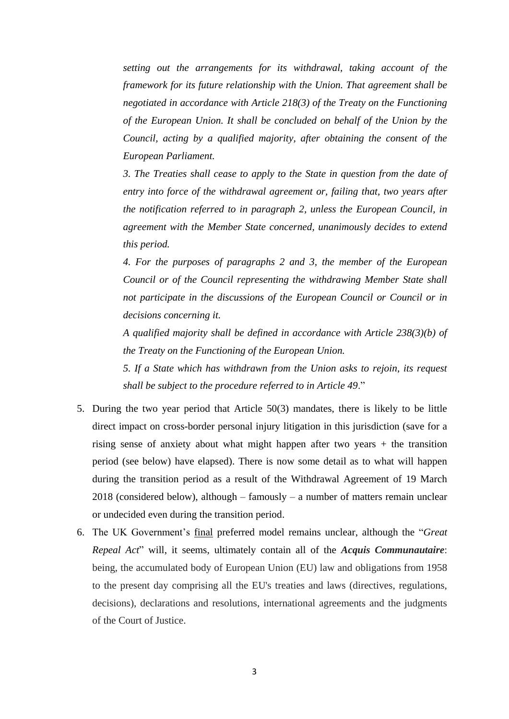*setting out the arrangements for its withdrawal, taking account of the framework for its future relationship with the Union. That agreement shall be negotiated in accordance with Article 218(3) of the Treaty on the Functioning of the European Union. It shall be concluded on behalf of the Union by the Council, acting by a qualified majority, after obtaining the consent of the European Parliament.*

*3. The Treaties shall cease to apply to the State in question from the date of entry into force of the withdrawal agreement or, failing that, two years after the notification referred to in paragraph 2, unless the European Council, in agreement with the Member State concerned, unanimously decides to extend this period.*

*4. For the purposes of paragraphs 2 and 3, the member of the European Council or of the Council representing the withdrawing Member State shall not participate in the discussions of the European Council or Council or in decisions concerning it.*

*A qualified majority shall be defined in accordance with Article 238(3)(b) of the Treaty on the Functioning of the European Union.*

*5. If a State which has withdrawn from the Union asks to rejoin, its request shall be subject to the procedure referred to in Article 49*."

- 5. During the two year period that Article 50(3) mandates, there is likely to be little direct impact on cross-border personal injury litigation in this jurisdiction (save for a rising sense of anxiety about what might happen after two years + the transition period (see below) have elapsed). There is now some detail as to what will happen during the transition period as a result of the Withdrawal Agreement of 19 March  $2018$  (considered below), although – famously – a number of matters remain unclear or undecided even during the transition period.
- 6. The UK Government's final preferred model remains unclear, although the "*Great Repeal Act*" will, it seems, ultimately contain all of the *Acquis Communautaire*: being, the accumulated body of European Union (EU) law and obligations from 1958 to the present day comprising all the EU's treaties and laws (directives, regulations, decisions), declarations and resolutions, international agreements and the judgments of the Court of Justice.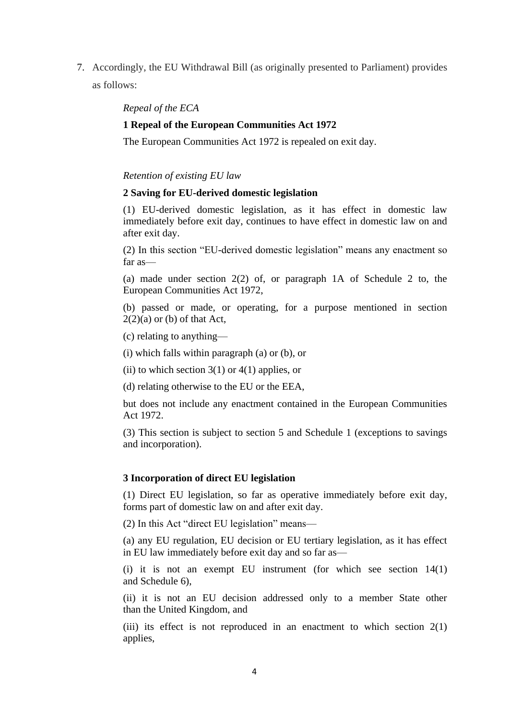7. Accordingly, the EU Withdrawal Bill (as originally presented to Parliament) provides as follows:

*Repeal of the ECA*

### **1 Repeal of the European Communities Act 1972**

The European Communities Act 1972 is repealed on exit day.

#### *Retention of existing EU law*

### **2 Saving for EU-derived domestic legislation**

(1) EU-derived domestic legislation, as it has effect in domestic law immediately before exit day, continues to have effect in domestic law on and after exit day.

(2) In this section "EU-derived domestic legislation" means any enactment so far as—

(a) made under section 2(2) of, or paragraph 1A of Schedule 2 to, the European Communities Act 1972,

(b) passed or made, or operating, for a purpose mentioned in section  $2(2)(a)$  or (b) of that Act,

(c) relating to anything—

(i) which falls within paragraph (a) or (b), or

(ii) to which section  $3(1)$  or  $4(1)$  applies, or

(d) relating otherwise to the EU or the EEA,

but does not include any enactment contained in the European Communities Act 1972.

(3) This section is subject to section 5 and Schedule 1 (exceptions to savings and incorporation).

#### **3 Incorporation of direct EU legislation**

(1) Direct EU legislation, so far as operative immediately before exit day, forms part of domestic law on and after exit day.

(2) In this Act "direct EU legislation" means—

(a) any EU regulation, EU decision or EU tertiary legislation, as it has effect in EU law immediately before exit day and so far as—

(i) it is not an exempt EU instrument (for which see section 14(1) and Schedule 6),

(ii) it is not an EU decision addressed only to a member State other than the United Kingdom, and

(iii) its effect is not reproduced in an enactment to which section 2(1) applies,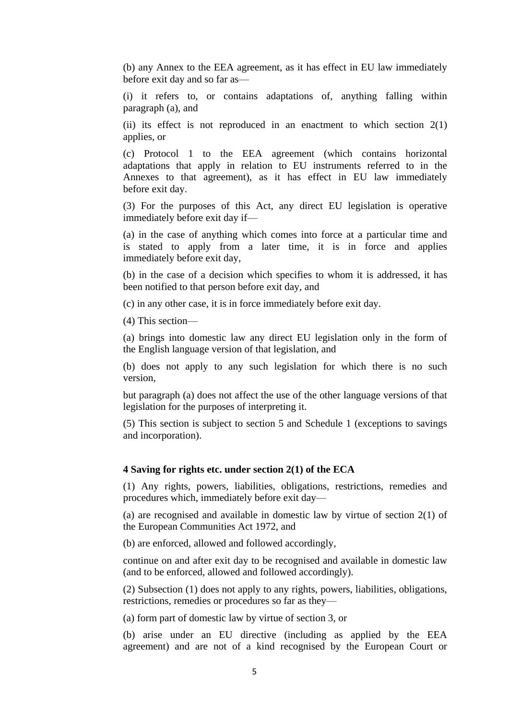(b) any Annex to the EEA agreement, as it has effect in EU law immediately before exit day and so far as—

(i) it refers to, or contains adaptations of, anything falling within paragraph (a), and

(ii) its effect is not reproduced in an enactment to which section 2(1) applies, or

(c) Protocol 1 to the EEA agreement (which contains horizontal adaptations that apply in relation to EU instruments referred to in the Annexes to that agreement), as it has effect in EU law immediately before exit day.

(3) For the purposes of this Act, any direct EU legislation is operative immediately before exit day if—

(a) in the case of anything which comes into force at a particular time and is stated to apply from a later time, it is in force and applies immediately before exit day,

(b) in the case of a decision which specifies to whom it is addressed, it has been notified to that person before exit day, and

(c) in any other case, it is in force immediately before exit day.

(4) This section—

(a) brings into domestic law any direct EU legislation only in the form of the English language version of that legislation, and

(b) does not apply to any such legislation for which there is no such version,

but paragraph (a) does not affect the use of the other language versions of that legislation for the purposes of interpreting it.

(5) This section is subject to section 5 and Schedule 1 (exceptions to savings and incorporation).

#### **4 Saving for rights etc. under section 2(1) of the ECA**

(1) Any rights, powers, liabilities, obligations, restrictions, remedies and procedures which, immediately before exit day—

(a) are recognised and available in domestic law by virtue of section 2(1) of the European Communities Act 1972, and

(b) are enforced, allowed and followed accordingly,

continue on and after exit day to be recognised and available in domestic law (and to be enforced, allowed and followed accordingly).

(2) Subsection (1) does not apply to any rights, powers, liabilities, obligations, restrictions, remedies or procedures so far as they—

(a) form part of domestic law by virtue of section 3, or

(b) arise under an EU directive (including as applied by the EEA agreement) and are not of a kind recognised by the European Court or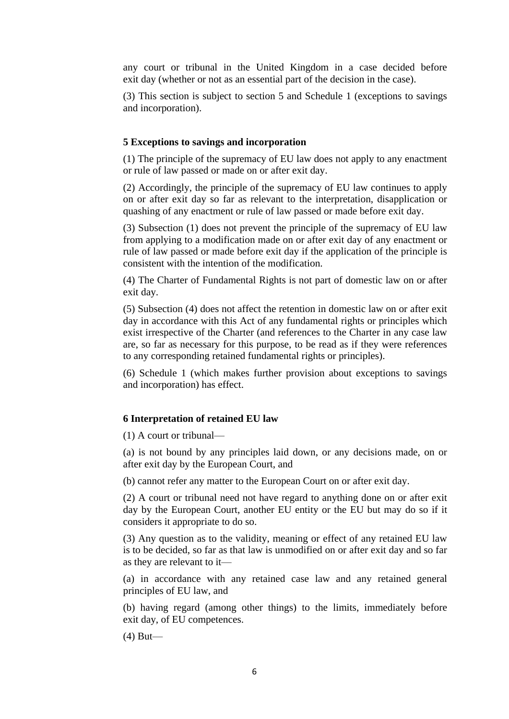any court or tribunal in the United Kingdom in a case decided before exit day (whether or not as an essential part of the decision in the case).

(3) This section is subject to section 5 and Schedule 1 (exceptions to savings and incorporation).

#### **5 Exceptions to savings and incorporation**

(1) The principle of the supremacy of EU law does not apply to any enactment or rule of law passed or made on or after exit day.

(2) Accordingly, the principle of the supremacy of EU law continues to apply on or after exit day so far as relevant to the interpretation, disapplication or quashing of any enactment or rule of law passed or made before exit day.

(3) Subsection (1) does not prevent the principle of the supremacy of EU law from applying to a modification made on or after exit day of any enactment or rule of law passed or made before exit day if the application of the principle is consistent with the intention of the modification.

(4) The Charter of Fundamental Rights is not part of domestic law on or after exit day.

(5) Subsection (4) does not affect the retention in domestic law on or after exit day in accordance with this Act of any fundamental rights or principles which exist irrespective of the Charter (and references to the Charter in any case law are, so far as necessary for this purpose, to be read as if they were references to any corresponding retained fundamental rights or principles).

(6) Schedule 1 (which makes further provision about exceptions to savings and incorporation) has effect.

#### **6 Interpretation of retained EU law**

(1) A court or tribunal—

(a) is not bound by any principles laid down, or any decisions made, on or after exit day by the European Court, and

(b) cannot refer any matter to the European Court on or after exit day.

(2) A court or tribunal need not have regard to anything done on or after exit day by the European Court, another EU entity or the EU but may do so if it considers it appropriate to do so.

(3) Any question as to the validity, meaning or effect of any retained EU law is to be decided, so far as that law is unmodified on or after exit day and so far as they are relevant to it—

(a) in accordance with any retained case law and any retained general principles of EU law, and

(b) having regard (among other things) to the limits, immediately before exit day, of EU competences.

(4) But—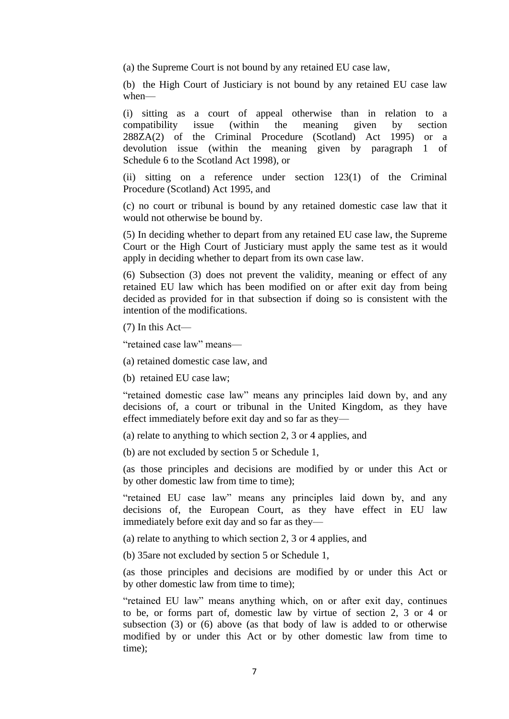(a) the Supreme Court is not bound by any retained EU case law,

(b) the High Court of Justiciary is not bound by any retained EU case law when—

(i) sitting as a court of appeal otherwise than in relation to a compatibility issue (within the meaning given by section 288ZA(2) of the Criminal Procedure (Scotland) Act 1995) or a devolution issue (within the meaning given by paragraph 1 of Schedule 6 to the Scotland Act 1998), or

(ii) sitting on a reference under section 123(1) of the Criminal Procedure (Scotland) Act 1995, and

(c) no court or tribunal is bound by any retained domestic case law that it would not otherwise be bound by.

(5) In deciding whether to depart from any retained EU case law, the Supreme Court or the High Court of Justiciary must apply the same test as it would apply in deciding whether to depart from its own case law.

(6) Subsection (3) does not prevent the validity, meaning or effect of any retained EU law which has been modified on or after exit day from being decided as provided for in that subsection if doing so is consistent with the intention of the modifications.

(7) In this Act—

"retained case law" means—

(a) retained domestic case law, and

(b) retained EU case law;

"retained domestic case law" means any principles laid down by, and any decisions of, a court or tribunal in the United Kingdom, as they have effect immediately before exit day and so far as they—

(a) relate to anything to which section 2, 3 or 4 applies, and

(b) are not excluded by section 5 or Schedule 1,

(as those principles and decisions are modified by or under this Act or by other domestic law from time to time);

"retained EU case law" means any principles laid down by, and any decisions of, the European Court, as they have effect in EU law immediately before exit day and so far as they—

(a) relate to anything to which section 2, 3 or 4 applies, and

(b) 35are not excluded by section 5 or Schedule 1,

(as those principles and decisions are modified by or under this Act or by other domestic law from time to time);

"retained EU law" means anything which, on or after exit day, continues to be, or forms part of, domestic law by virtue of section 2, 3 or 4 or subsection (3) or (6) above (as that body of law is added to or otherwise modified by or under this Act or by other domestic law from time to time);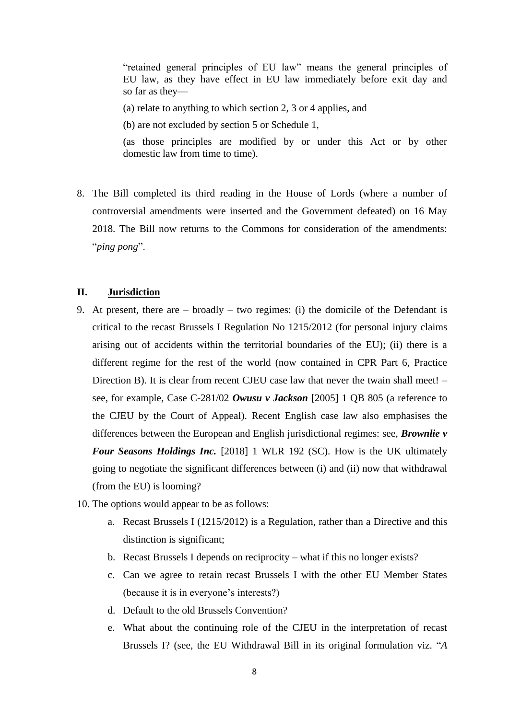"retained general principles of EU law" means the general principles of EU law, as they have effect in EU law immediately before exit day and so far as they—

(a) relate to anything to which section 2, 3 or 4 applies, and

(b) are not excluded by section 5 or Schedule 1,

(as those principles are modified by or under this Act or by other domestic law from time to time).

8. The Bill completed its third reading in the House of Lords (where a number of controversial amendments were inserted and the Government defeated) on 16 May 2018. The Bill now returns to the Commons for consideration of the amendments: "*ping pong*".

### **II. Jurisdiction**

- 9. At present, there are broadly two regimes: (i) the domicile of the Defendant is critical to the recast Brussels I Regulation No 1215/2012 (for personal injury claims arising out of accidents within the territorial boundaries of the EU); (ii) there is a different regime for the rest of the world (now contained in CPR Part 6, Practice Direction B). It is clear from recent CJEU case law that never the twain shall meet! – see, for example, Case C-281/02 *Owusu v Jackson* [2005] 1 QB 805 (a reference to the CJEU by the Court of Appeal). Recent English case law also emphasises the differences between the European and English jurisdictional regimes: see, *Brownlie v Four Seasons Holdings Inc.* [2018] 1 WLR 192 (SC). How is the UK ultimately going to negotiate the significant differences between (i) and (ii) now that withdrawal (from the EU) is looming?
- 10. The options would appear to be as follows:
	- a. Recast Brussels I (1215/2012) is a Regulation, rather than a Directive and this distinction is significant;
	- b. Recast Brussels I depends on reciprocity what if this no longer exists?
	- c. Can we agree to retain recast Brussels I with the other EU Member States (because it is in everyone's interests?)
	- d. Default to the old Brussels Convention?
	- e. What about the continuing role of the CJEU in the interpretation of recast Brussels I? (see, the EU Withdrawal Bill in its original formulation viz. "*A*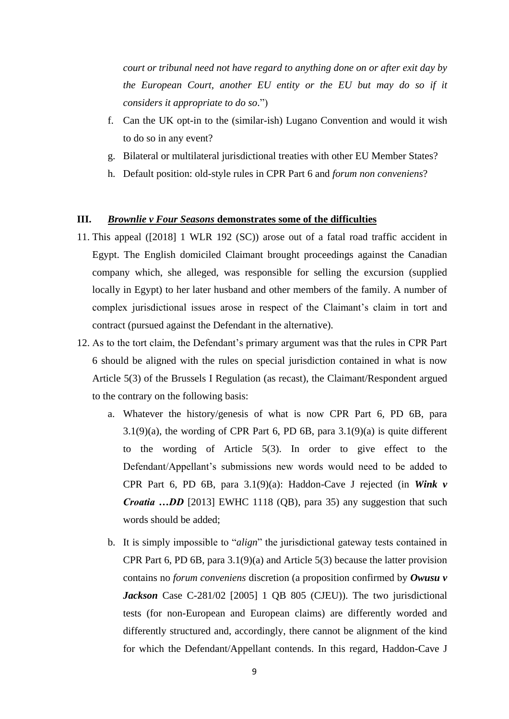*court or tribunal need not have regard to anything done on or after exit day by the European Court, another EU entity or the EU but may do so if it considers it appropriate to do so*.")

- f. Can the UK opt-in to the (similar-ish) Lugano Convention and would it wish to do so in any event?
- g. Bilateral or multilateral jurisdictional treaties with other EU Member States?
- h. Default position: old-style rules in CPR Part 6 and *forum non conveniens*?

## **III.** *Brownlie v Four Seasons* **demonstrates some of the difficulties**

- 11. This appeal ([2018] 1 WLR 192 (SC)) arose out of a fatal road traffic accident in Egypt. The English domiciled Claimant brought proceedings against the Canadian company which, she alleged, was responsible for selling the excursion (supplied locally in Egypt) to her later husband and other members of the family. A number of complex jurisdictional issues arose in respect of the Claimant's claim in tort and contract (pursued against the Defendant in the alternative).
- 12. As to the tort claim, the Defendant's primary argument was that the rules in CPR Part 6 should be aligned with the rules on special jurisdiction contained in what is now Article 5(3) of the Brussels I Regulation (as recast), the Claimant/Respondent argued to the contrary on the following basis:
	- a. Whatever the history/genesis of what is now CPR Part 6, PD 6B, para  $3.1(9)(a)$ , the wording of CPR Part 6, PD 6B, para  $3.1(9)(a)$  is quite different to the wording of Article 5(3). In order to give effect to the Defendant/Appellant's submissions new words would need to be added to CPR Part 6, PD 6B, para 3.1(9)(a): Haddon-Cave J rejected (in *Wink v Croatia …DD* [2013] EWHC 1118 (QB), para 35) any suggestion that such words should be added;
	- b. It is simply impossible to "*align*" the jurisdictional gateway tests contained in CPR Part 6, PD 6B, para  $3.1(9)(a)$  and Article 5(3) because the latter provision contains no *forum conveniens* discretion (a proposition confirmed by *Owusu v Jackson* Case C-281/02 [2005] 1 QB 805 (CJEU)). The two jurisdictional tests (for non-European and European claims) are differently worded and differently structured and, accordingly, there cannot be alignment of the kind for which the Defendant/Appellant contends. In this regard, Haddon-Cave J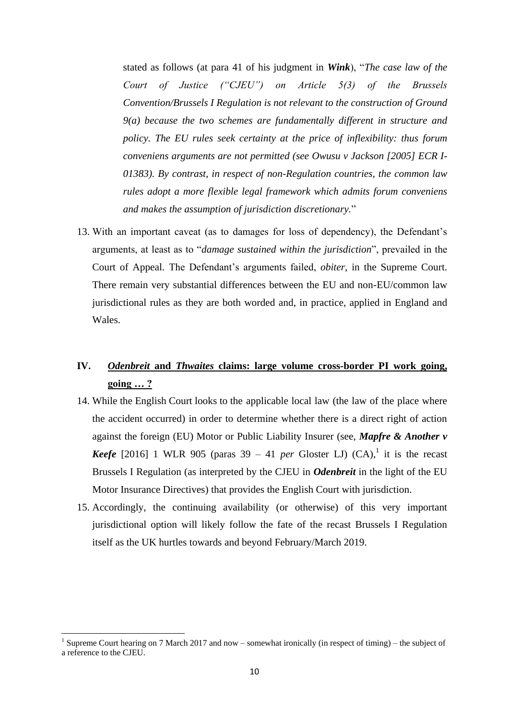stated as follows (at para 41 of his judgment in *Wink*), "*The case law of the Court of Justice ("CJEU") on Article 5(3) of the Brussels Convention/Brussels I Regulation is not relevant to the construction of Ground 9(a) because the two schemes are fundamentally different in structure and policy. The EU rules seek certainty at the price of inflexibility: thus forum conveniens arguments are not permitted (see Owusu v Jackson [2005] ECR I-01383). By contrast, in respect of non-Regulation countries, the common law rules adopt a more flexible legal framework which admits forum conveniens and makes the assumption of jurisdiction discretionary.*"

13. With an important caveat (as to damages for loss of dependency), the Defendant's arguments, at least as to "*damage sustained within the jurisdiction*", prevailed in the Court of Appeal. The Defendant's arguments failed, *obiter*, in the Supreme Court. There remain very substantial differences between the EU and non-EU/common law jurisdictional rules as they are both worded and, in practice, applied in England and Wales.

# **IV.** *Odenbreit* **and** *Thwaites* **claims: large volume cross-border PI work going, going … ?**

- 14. While the English Court looks to the applicable local law (the law of the place where the accident occurred) in order to determine whether there is a direct right of action against the foreign (EU) Motor or Public Liability Insurer (see, *Mapfre & Another v Keefe* [2016] 1 WLR 905 (paras  $39 - 41$  *per* Gloster LJ) (CA),<sup>1</sup> it is the recast Brussels I Regulation (as interpreted by the CJEU in *Odenbreit* in the light of the EU Motor Insurance Directives) that provides the English Court with jurisdiction.
- 15. Accordingly, the continuing availability (or otherwise) of this very important jurisdictional option will likely follow the fate of the recast Brussels I Regulation itself as the UK hurtles towards and beyond February/March 2019.

1

<sup>&</sup>lt;sup>1</sup> Supreme Court hearing on 7 March 2017 and now – somewhat ironically (in respect of timing) – the subject of a reference to the CJEU.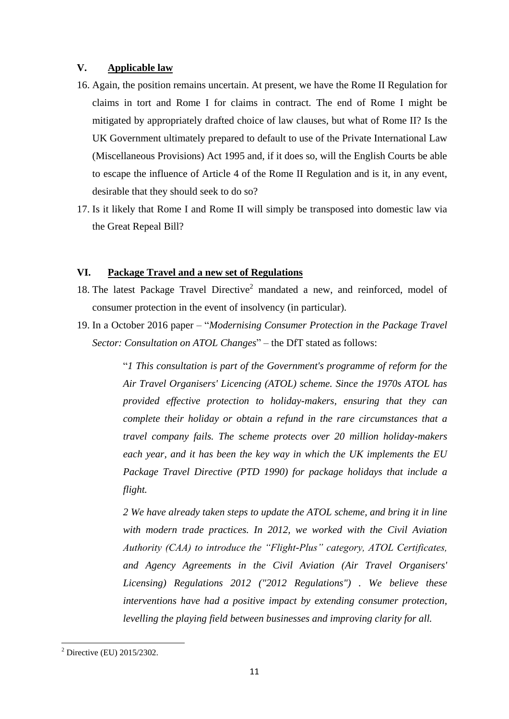## **V. Applicable law**

- 16. Again, the position remains uncertain. At present, we have the Rome II Regulation for claims in tort and Rome I for claims in contract. The end of Rome I might be mitigated by appropriately drafted choice of law clauses, but what of Rome II? Is the UK Government ultimately prepared to default to use of the Private International Law (Miscellaneous Provisions) Act 1995 and, if it does so, will the English Courts be able to escape the influence of Article 4 of the Rome II Regulation and is it, in any event, desirable that they should seek to do so?
- 17. Is it likely that Rome I and Rome II will simply be transposed into domestic law via the Great Repeal Bill?

## **VI. Package Travel and a new set of Regulations**

- 18. The latest Package Travel Directive<sup>2</sup> mandated a new, and reinforced, model of consumer protection in the event of insolvency (in particular).
- 19. In a October 2016 paper "*Modernising Consumer Protection in the Package Travel Sector: Consultation on ATOL Changes*" – the DfT stated as follows:

"*1 This consultation is part of the Government's programme of reform for the Air Travel Organisers' Licencing (ATOL) scheme. Since the 1970s ATOL has provided effective protection to holiday-makers, ensuring that they can complete their holiday or obtain a refund in the rare circumstances that a travel company fails. The scheme protects over 20 million holiday-makers each year, and it has been the key way in which the UK implements the EU Package Travel Directive (PTD 1990) for package holidays that include a flight.* 

*2 We have already taken steps to update the ATOL scheme, and bring it in line with modern trade practices. In 2012, we worked with the Civil Aviation Authority (CAA) to introduce the "Flight-Plus" category, ATOL Certificates, and Agency Agreements in the Civil Aviation (Air Travel Organisers' Licensing) Regulations 2012 ("2012 Regulations") . We believe these interventions have had a positive impact by extending consumer protection, levelling the playing field between businesses and improving clarity for all.* 

**.** 

 $2^2$  Directive (EU) 2015/2302.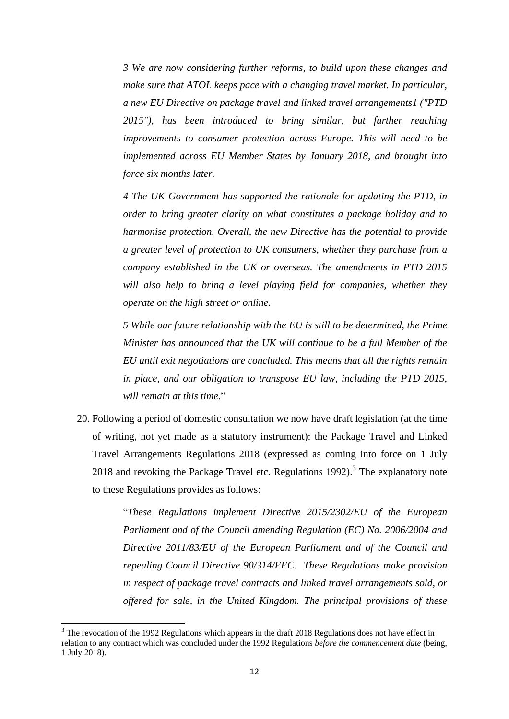*3 We are now considering further reforms, to build upon these changes and make sure that ATOL keeps pace with a changing travel market. In particular, a new EU Directive on package travel and linked travel arrangements1 ("PTD 2015"), has been introduced to bring similar, but further reaching improvements to consumer protection across Europe. This will need to be implemented across EU Member States by January 2018, and brought into force six months later.* 

*4 The UK Government has supported the rationale for updating the PTD, in order to bring greater clarity on what constitutes a package holiday and to harmonise protection. Overall, the new Directive has the potential to provide a greater level of protection to UK consumers, whether they purchase from a company established in the UK or overseas. The amendments in PTD 2015*  will also help to bring a level playing field for companies, whether they *operate on the high street or online.* 

*5 While our future relationship with the EU is still to be determined, the Prime Minister has announced that the UK will continue to be a full Member of the EU until exit negotiations are concluded. This means that all the rights remain in place, and our obligation to transpose EU law, including the PTD 2015, will remain at this time*."

20. Following a period of domestic consultation we now have draft legislation (at the time of writing, not yet made as a statutory instrument): the Package Travel and Linked Travel Arrangements Regulations 2018 (expressed as coming into force on 1 July 2018 and revoking the Package Travel etc. Regulations  $1992$ ).<sup>3</sup> The explanatory note to these Regulations provides as follows:

> "*These Regulations implement [Directive 2015/2302/EU](https://www.legislation.gov.uk/european/directive/2015/2302) of the European Parliament and of the Council amending Regulation [\(EC\) No. 2006/2004](https://www.legislation.gov.uk/european/regulation/2004/2006) and [Directive 2011/83/EU](https://www.legislation.gov.uk/european/directive/2011/0083) of the European Parliament and of the Council and repealing Council [Directive 90/314/EEC.](https://www.legislation.gov.uk/european/directive/1990/0314) These Regulations make provision in respect of package travel contracts and linked travel arrangements sold, or offered for sale, in the United Kingdom. The principal provisions of these*

**.** 

 $3$  The revocation of the 1992 Regulations which appears in the draft 2018 Regulations does not have effect in relation to any contract which was concluded under the 1992 Regulations *before the commencement date* (being, 1 July 2018).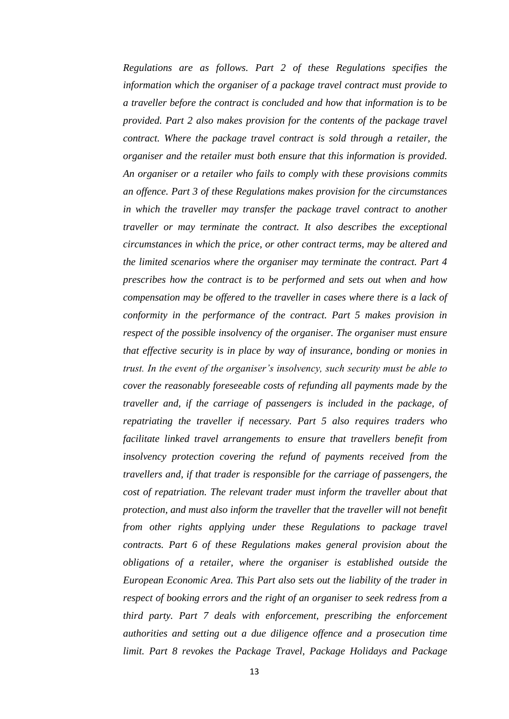*Regulations are as follows. Part 2 of these Regulations specifies the information which the organiser of a package travel contract must provide to a traveller before the contract is concluded and how that information is to be provided. Part 2 also makes provision for the contents of the package travel contract. Where the package travel contract is sold through a retailer, the organiser and the retailer must both ensure that this information is provided. An organiser or a retailer who fails to comply with these provisions commits an offence. Part 3 of these Regulations makes provision for the circumstances in which the traveller may transfer the package travel contract to another traveller or may terminate the contract. It also describes the exceptional circumstances in which the price, or other contract terms, may be altered and the limited scenarios where the organiser may terminate the contract. Part 4 prescribes how the contract is to be performed and sets out when and how compensation may be offered to the traveller in cases where there is a lack of conformity in the performance of the contract. Part 5 makes provision in respect of the possible insolvency of the organiser. The organiser must ensure that effective security is in place by way of insurance, bonding or monies in trust. In the event of the organiser's insolvency, such security must be able to cover the reasonably foreseeable costs of refunding all payments made by the traveller and, if the carriage of passengers is included in the package, of repatriating the traveller if necessary. Part 5 also requires traders who facilitate linked travel arrangements to ensure that travellers benefit from insolvency protection covering the refund of payments received from the travellers and, if that trader is responsible for the carriage of passengers, the cost of repatriation. The relevant trader must inform the traveller about that protection, and must also inform the traveller that the traveller will not benefit from other rights applying under these Regulations to package travel contracts. Part 6 of these Regulations makes general provision about the obligations of a retailer, where the organiser is established outside the European Economic Area. This Part also sets out the liability of the trader in respect of booking errors and the right of an organiser to seek redress from a third party. Part 7 deals with enforcement, prescribing the enforcement authorities and setting out a due diligence offence and a prosecution time limit. Part 8 revokes the Package Travel, Package Holidays and Package*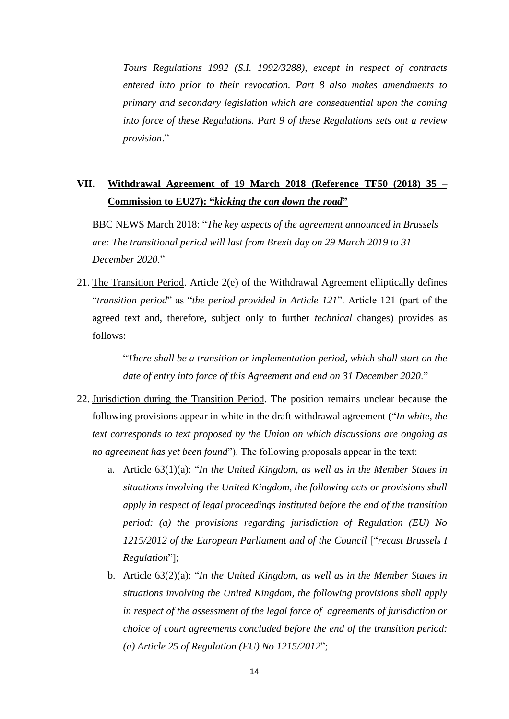*Tours Regulations 1992 [\(S.I. 1992/3288\)](https://www.legislation.gov.uk/id/uksi/1992/3288), except in respect of contracts entered into prior to their revocation. Part 8 also makes amendments to primary and secondary legislation which are consequential upon the coming into force of these Regulations. Part 9 of these Regulations sets out a review provision*."

# **VII. Withdrawal Agreement of 19 March 2018 (Reference TF50 (2018) 35 – Commission to EU27): "***kicking the can down the road***"**

BBC NEWS March 2018: "*The key aspects of the agreement announced in Brussels are: The transitional period will last from Brexit day on 29 March 2019 to 31 December 2020*."

21. The Transition Period. Article 2(e) of the Withdrawal Agreement elliptically defines "*transition period*" as "*the period provided in Article 121*". Article 121 (part of the agreed text and, therefore, subject only to further *technical* changes) provides as follows:

> "*There shall be a transition or implementation period, which shall start on the date of entry into force of this Agreement and end on 31 December 2020*."

- 22. Jurisdiction during the Transition Period. The position remains unclear because the following provisions appear in white in the draft withdrawal agreement ("*In white, the text corresponds to text proposed by the Union on which discussions are ongoing as no agreement has yet been found*"). The following proposals appear in the text:
	- a. Article 63(1)(a): "*In the United Kingdom, as well as in the Member States in situations involving the United Kingdom, the following acts or provisions shall apply in respect of legal proceedings instituted before the end of the transition period: (a) the provisions regarding jurisdiction of Regulation (EU) No 1215/2012 of the European Parliament and of the Council* ["*recast Brussels I Regulation*"];
	- b. Article 63(2)(a): "*In the United Kingdom, as well as in the Member States in situations involving the United Kingdom, the following provisions shall apply in respect of the assessment of the legal force of agreements of jurisdiction or choice of court agreements concluded before the end of the transition period: (a) Article 25 of Regulation (EU) No 1215/2012*";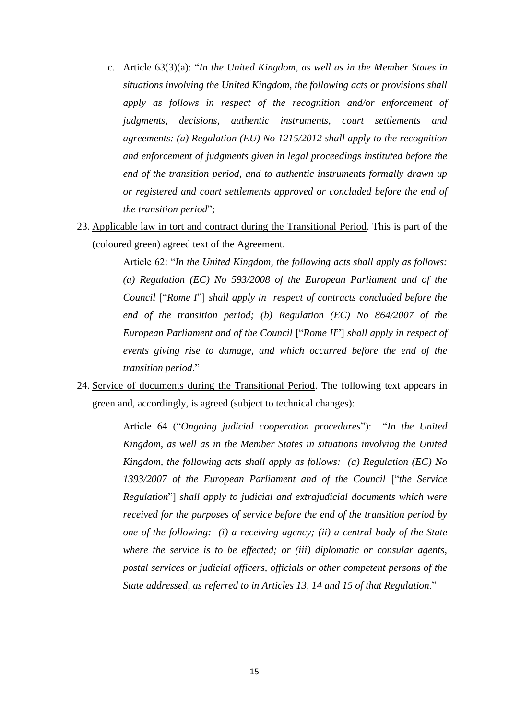- c. Article 63(3)(a): "*In the United Kingdom, as well as in the Member States in situations involving the United Kingdom, the following acts or provisions shall apply as follows in respect of the recognition and/or enforcement of judgments, decisions, authentic instruments, court settlements and agreements: (a) Regulation (EU) No 1215/2012 shall apply to the recognition and enforcement of judgments given in legal proceedings instituted before the end of the transition period, and to authentic instruments formally drawn up or registered and court settlements approved or concluded before the end of the transition period*";
- 23. Applicable law in tort and contract during the Transitional Period. This is part of the (coloured green) agreed text of the Agreement.

Article 62: "*In the United Kingdom, the following acts shall apply as follows: (a) Regulation (EC) No 593/2008 of the European Parliament and of the Council* ["*Rome I*"] *shall apply in respect of contracts concluded before the end of the transition period; (b) Regulation (EC) No 864/2007 of the European Parliament and of the Council* ["*Rome II*"] *shall apply in respect of events giving rise to damage, and which occurred before the end of the transition period*."

24. Service of documents during the Transitional Period. The following text appears in green and, accordingly, is agreed (subject to technical changes):

> Article 64 ("*Ongoing judicial cooperation procedures*"): "*In the United Kingdom, as well as in the Member States in situations involving the United Kingdom, the following acts shall apply as follows: (a) Regulation (EC) No 1393/2007 of the European Parliament and of the Council* ["*the Service Regulation*"] *shall apply to judicial and extrajudicial documents which were received for the purposes of service before the end of the transition period by one of the following: (i) a receiving agency; (ii) a central body of the State where the service is to be effected; or (iii) diplomatic or consular agents, postal services or judicial officers, officials or other competent persons of the State addressed, as referred to in Articles 13, 14 and 15 of that Regulation*."